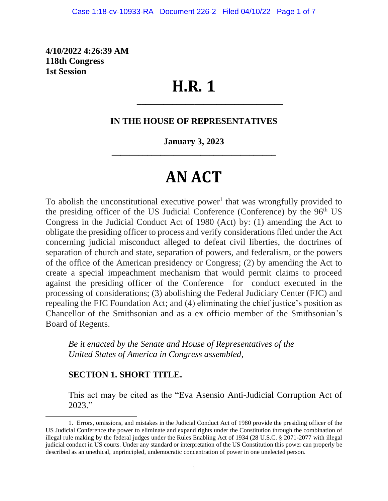**4/10/2022 4:26:39 AM 118th Congress 1st Session**

## **H.R. 1**

#### **IN THE HOUSE OF REPRESENTATIVES**

**\_\_\_\_\_\_\_\_\_\_\_\_\_\_\_\_\_\_\_\_\_\_\_\_\_\_\_\_\_\_\_\_\_**

#### **January 3, 2023 \_\_\_\_\_\_\_\_\_\_\_\_\_\_\_\_\_\_\_\_\_\_\_\_\_\_\_\_\_\_\_\_\_\_\_\_\_**

# **AN ACT**

To abolish the unconstitutional executive power<sup>1</sup> that was wrongfully provided to the presiding officer of the US Judicial Conference (Conference) by the 96<sup>th</sup> US Congress in the Judicial Conduct Act of 1980 (Act) by: (1) amending the Act to obligate the presiding officer to process and verify considerations filed under the Act concerning judicial misconduct alleged to defeat civil liberties, the doctrines of separation of church and state, separation of powers, and federalism, or the powers of the office of the American presidency or Congress; (2) by amending the Act to create a special impeachment mechanism that would permit claims to proceed against the presiding officer of the Conference for conduct executed in the processing of considerations; (3) abolishing the Federal Judiciary Center (FJC) and repealing the FJC Foundation Act; and (4) eliminating the chief justice's position as Chancellor of the Smithsonian and as a ex officio member of the Smithsonian's Board of Regents.

*Be it enacted by the Senate and House of Representatives of the United States of America in Congress assembled,*

#### **SECTION 1. SHORT TITLE.**

This act may be cited as the "Eva Asensio Anti-Judicial Corruption Act of 2023."

<sup>1.</sup> Errors, omissions, and mistakes in the Judicial Conduct Act of 1980 provide the presiding officer of the US Judicial Conference the power to eliminate and expand rights under the Constitution through the combination of illegal rule making by the federal judges under the Rules Enabling Act of 1934 (28 U.S.C. § 2071-2077 with illegal judicial conduct in US courts. Under any standard or interpretation of the US Constitution this power can properly be described as an unethical, unprincipled, undemocratic concentration of power in one unelected person.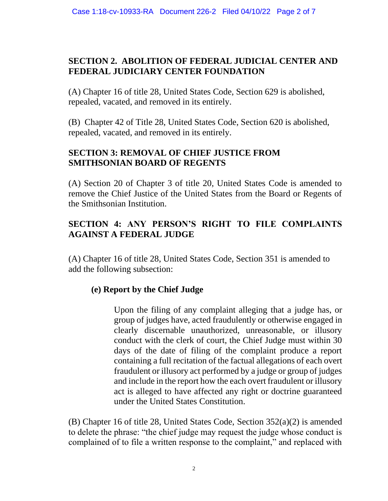## **SECTION 2. ABOLITION OF FEDERAL JUDICIAL CENTER AND FEDERAL JUDICIARY CENTER FOUNDATION**

(A) Chapter 16 of title 28, United States Code, Section 629 is abolished, repealed, vacated, and removed in its entirely.

(B) Chapter 42 of Title 28, United States Code, Section 620 is abolished, repealed, vacated, and removed in its entirely.

## **SECTION 3: REMOVAL OF CHIEF JUSTICE FROM SMITHSONIAN BOARD OF REGENTS**

(A) Section 20 of Chapter 3 of title 20, United States Code is amended to remove the Chief Justice of the United States from the Board or Regents of the Smithsonian Institution.

## **SECTION 4: ANY PERSON'S RIGHT TO FILE COMPLAINTS AGAINST A FEDERAL JUDGE**

(A) Chapter 16 of title 28, United States Code, Section 351 is amended to add the following subsection:

## **(e) Report by the Chief Judge**

Upon the filing of any complaint alleging that a judge has, or group of judges have, acted fraudulently or otherwise engaged in clearly discernable unauthorized, unreasonable, or illusory conduct with the clerk of court, the Chief Judge must within 30 days of the date of filing of the complaint produce a report containing a full recitation of the factual allegations of each overt fraudulent or illusory act performed by a judge or group of judges and include in the report how the each overt fraudulent or illusory act is alleged to have affected any right or doctrine guaranteed under the United States Constitution.

(B) Chapter 16 of title 28, United States Code, Section 352(a)(2) is amended to delete the phrase: "the chief judge may request the judge whose conduct is complained of to file a written response to the complaint," and replaced with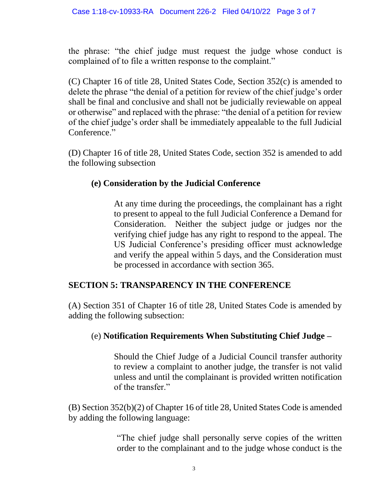the phrase: "the chief judge must request the judge whose conduct is complained of to file a written response to the complaint."

(C) Chapter 16 of title 28, United States Code, Section 352(c) is amended to delete the phrase "the denial of a petition for review of the chief judge's order shall be final and conclusive and shall not be judicially reviewable on appeal or otherwise" and replaced with the phrase: "the denial of a petition for review of the chief judge's order shall be immediately appealable to the full Judicial Conference."

(D) Chapter 16 of title 28, United States Code, section 352 is amended to add the following subsection

#### **(e) Consideration by the Judicial Conference**

At any time during the proceedings, the complainant has a right to present to appeal to the full Judicial Conference a Demand for Consideration. Neither the subject judge or judges nor the verifying chief judge has any right to respond to the appeal. The US Judicial Conference's presiding officer must acknowledge and verify the appeal within 5 days, and the Consideration must be processed in accordance with section 365.

#### **SECTION 5: TRANSPARENCY IN THE CONFERENCE**

(A) Section 351 of Chapter 16 of title 28, United States Code is amended by adding the following subsection:

#### (e) **Notification Requirements When Substituting Chief Judge –**

Should the Chief Judge of a Judicial Council transfer authority to review a complaint to another judge, the transfer is not valid unless and until the complainant is provided written notification of the transfer."

(B) Section 352(b)(2) of Chapter 16 of title 28, United States Code is amended by adding the following language:

> "The chief judge shall personally serve copies of the written order to the complainant and to the judge whose conduct is the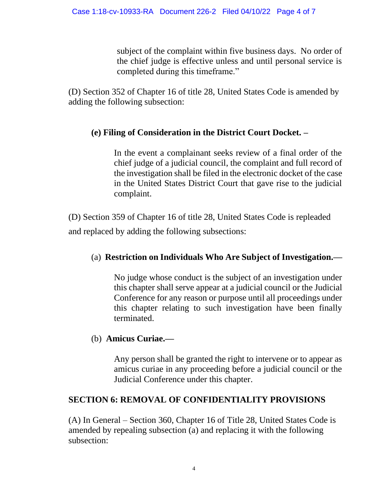subject of the complaint within five business days. No order of the chief judge is effective unless and until personal service is completed during this timeframe."

(D) Section 352 of Chapter 16 of title 28, United States Code is amended by adding the following subsection:

## **(e) Filing of Consideration in the District Court Docket. –**

In the event a complainant seeks review of a final order of the chief judge of a judicial council, the complaint and full record of the investigation shall be filed in the electronic docket of the case in the United States District Court that gave rise to the judicial complaint.

(D) Section 359 of Chapter 16 of title 28, United States Code is repleaded and replaced by adding the following subsections:

## (a) **Restriction on Individuals Who Are Subject of Investigation.—**

No judge whose conduct is the subject of an investigation under this chapter shall serve appear at a judicial council or the Judicial Conference for any reason or purpose until all proceedings under this chapter relating to such investigation have been finally terminated.

## (b) **Amicus Curiae.—**

Any person shall be granted the right to intervene or to appear as amicus curiae in any proceeding before a judicial council or the Judicial Conference under this chapter.

#### **SECTION 6: REMOVAL OF CONFIDENTIALITY PROVISIONS**

(A) In General – Section 360, Chapter 16 of Title 28, United States Code is amended by repealing subsection (a) and replacing it with the following subsection: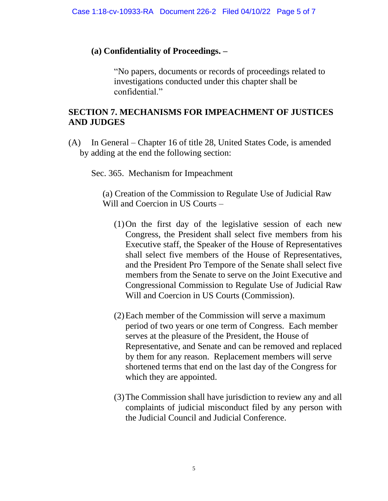#### **(a) Confidentiality of Proceedings. –**

"No papers, documents or records of proceedings related to investigations conducted under this chapter shall be confidential."

#### **SECTION 7. MECHANISMS FOR IMPEACHMENT OF JUSTICES AND JUDGES**

(A) In General – Chapter 16 of title 28, United States Code, is amended by adding at the end the following section:

Sec. 365. Mechanism for Impeachment

(a) Creation of the Commission to Regulate Use of Judicial Raw Will and Coercion in US Courts –

- (1)On the first day of the legislative session of each new Congress, the President shall select five members from his Executive staff, the Speaker of the House of Representatives shall select five members of the House of Representatives, and the President Pro Tempore of the Senate shall select five members from the Senate to serve on the Joint Executive and Congressional Commission to Regulate Use of Judicial Raw Will and Coercion in US Courts (Commission).
- (2)Each member of the Commission will serve a maximum period of two years or one term of Congress. Each member serves at the pleasure of the President, the House of Representative, and Senate and can be removed and replaced by them for any reason. Replacement members will serve shortened terms that end on the last day of the Congress for which they are appointed.
- (3)The Commission shall have jurisdiction to review any and all complaints of judicial misconduct filed by any person with the Judicial Council and Judicial Conference.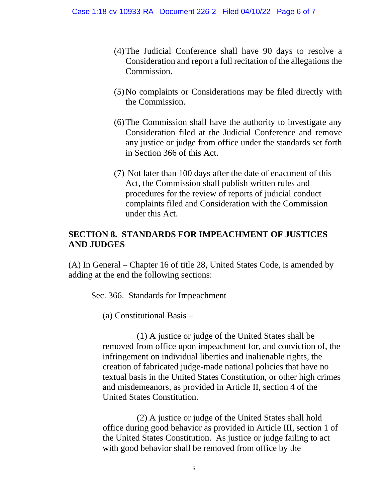- (4)The Judicial Conference shall have 90 days to resolve a Consideration and report a full recitation of the allegations the Commission.
- (5)No complaints or Considerations may be filed directly with the Commission.
- (6)The Commission shall have the authority to investigate any Consideration filed at the Judicial Conference and remove any justice or judge from office under the standards set forth in Section 366 of this Act.
- (7) Not later than 100 days after the date of enactment of this Act, the Commission shall publish written rules and procedures for the review of reports of judicial conduct complaints filed and Consideration with the Commission under this Act.

#### **SECTION 8. STANDARDS FOR IMPEACHMENT OF JUSTICES AND JUDGES**

(A) In General – Chapter 16 of title 28, United States Code, is amended by adding at the end the following sections:

Sec. 366. Standards for Impeachment

(a) Constitutional Basis –

(1) A justice or judge of the United States shall be removed from office upon impeachment for, and conviction of, the infringement on individual liberties and inalienable rights, the creation of fabricated judge-made national policies that have no textual basis in the United States Constitution, or other high crimes and misdemeanors, as provided in Article II, section 4 of the United States Constitution.

(2) A justice or judge of the United States shall hold office during good behavior as provided in Article III, section 1 of the United States Constitution. As justice or judge failing to act with good behavior shall be removed from office by the